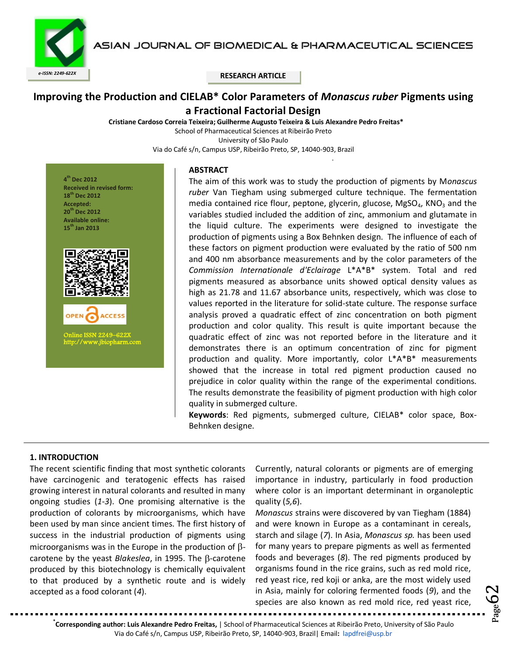SIAN JOURNAL OF BIOMEDICAL & PHARMACEUTICAL SCIENCES



**RESEARCH ARTICLE** *e-ISSN: 2249-622X*

# **Improving the Production and CIELAB\* Color Parameters of** *Monascus ruber* **Pigments using a Fractional Factorial Design**

**Cristiane Cardoso Correia Teixeira; Guilherme Augusto Teixeira & Luis Alexandre Pedro Freitas\*** School of Pharmaceutical Sciences at Ribeirão Preto University of São Paulo Via do Café s/n, Campus USP, Ribeirão Preto, SP, 14040-903, Brazil



## **ABSTRACT**

The aim of this work was to study the production of pigments by M*onascus ruber* Van Tiegham using submerged culture technique. The fermentation media contained rice flour, peptone, glycerin, glucose,  $MgSO<sub>4</sub>$ , KNO<sub>3</sub> and the variables studied included the addition of zinc, ammonium and glutamate in the liquid culture. The experiments were designed to investigate the production of pigments using a Box Behnken design. The influence of each of these factors on pigment production were evaluated by the ratio of 500 nm and 400 nm absorbance measurements and by the color parameters of the *Commission Internationale d'Eclairage* L\*A\*B\* system. Total and red pigments measured as absorbance units showed optical density values as high as 21.78 and 11.67 absorbance units, respectively, which was close to values reported in the literature for solid-state culture. The response surface analysis proved a quadratic effect of zinc concentration on both pigment production and color quality. This result is quite important because the quadratic effect of zinc was not reported before in the literature and it demonstrates there is an optimum concentration of zinc for pigment production and quality. More importantly, color L\*A\*B\* measurements showed that the increase in total red pigment production caused no prejudice in color quality within the range of the experimental conditions. The results demonstrate the feasibility of pigment production with high color quality in submerged culture.

.

**Keywords**: Red pigments, submerged culture, CIELAB\* color space, Box-Behnken designe.

# **1. INTRODUCTION**

The recent scientific finding that most synthetic colorants have carcinogenic and teratogenic effects has raised growing interest in natural colorants and resulted in many ongoing studies (*1-3*). One promising alternative is the production of colorants by microorganisms, which have been used by man since ancient times. The first history of success in the industrial production of pigments using microorganisms was in the Europe in the production of  $\beta$ carotene by the yeast *Blakeslea*, in 1995. The  $\beta$ -carotene produced by this biotechnology is chemically equivalent to that produced by a synthetic route and is widely accepted as a food colorant (*4*).

Currently, natural colorants or pigments are of emerging importance in industry, particularly in food production where color is an important determinant in organoleptic quality (*5,6*).

*Monascus* strains were discovered by van Tiegham (1884) and were known in Europe as a contaminant in cereals, starch and silage (*7*). In Asia, *Monascus sp.* has been used for many years to prepare pigments as well as fermented foods and beverages (*8*). The red pigments produced by organisms found in the rice grains, such as red mold rice, red yeast rice, red koji or anka, are the most widely used in Asia, mainly for coloring fermented foods (*9*), and the species are also known as red mold rice, red yeast rice,

 $\epsilon_{\rm age}$ 62

**\* Corresponding author: Luis Alexandre Pedro Freitas,** | School of Pharmaceutical Sciences at Ribeirão Preto, University of São Paulo Via do Café s/n, Campus USP, Ribeirão Preto, SP, 14040-903, Brazil| Email**:** lapdfrei@usp.br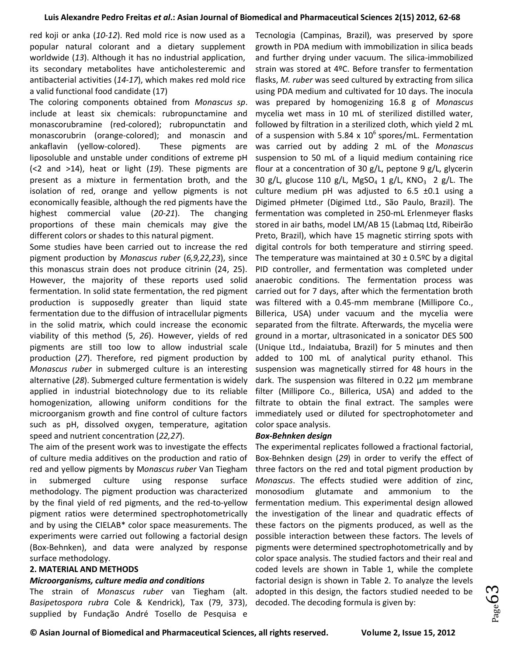red koji or anka (*10-12*). Red mold rice is now used as a popular natural colorant and a dietary supplement worldwide (*13*). Although it has no industrial application, its secondary metabolites have anticholesteremic and antibacterial activities (*14-17*), which makes red mold rice a valid functional food candidate (17)

The coloring components obtained from *Monascus sp*. include at least six chemicals: rubropunctamine and monascorubramine (red-colored); rubropunctatin and monascorubrin (orange-colored); and monascin and ankaflavin (yellow-colored). These pigments are liposoluble and unstable under conditions of extreme pH (<2 and >14), heat or light (*19*). These pigments are present as a mixture in fermentation broth, and the isolation of red, orange and yellow pigments is not economically feasible, although the red pigments have the highest commercial value (*20-21*). The changing proportions of these main chemicals may give the different colors or shades to this natural pigment.

Some studies have been carried out to increase the red pigment production by *Monascus ruber* (*6,9,22,23*), since this monascus strain does not produce citrinin (24, 25). However, the majority of these reports used solid fermentation. In solid state fermentation, the red pigment production is supposedly greater than liquid state fermentation due to the diffusion of intracellular pigments in the solid matrix, which could increase the economic viability of this method (5, *26*). However, yields of red pigments are still too low to allow industrial scale production (*27*). Therefore, red pigment production by *Monascus ruber* in submerged culture is an interesting alternative (*28*). Submerged culture fermentation is widely applied in industrial biotechnology due to its reliable homogenization, allowing uniform conditions for the microorganism growth and fine control of culture factors such as pH, dissolved oxygen, temperature, agitation speed and nutrient concentration (*22,27*).

The aim of the present work was to investigate the effects of culture media additives on the production and ratio of red and yellow pigments by M*onascus ruber* Van Tiegham in submerged culture using response surface methodology. The pigment production was characterized by the final yield of red pigments, and the red-to-yellow pigment ratios were determined spectrophotometrically and by using the CIELAB\* color space measurements. The experiments were carried out following a factorial design (Box-Behnken), and data were analyzed by response surface methodology.

# **2. MATERIAL AND METHODS**

## *Microorganisms, culture media and conditions*

The strain of *Monascus ruber* van Tiegham (alt. *Basipetospora rubra* Cole & Kendrick), Tax (79, 373), supplied by Fundação André Tosello de Pesquisa e

Tecnologia (Campinas, Brazil), was preserved by spore growth in PDA medium with immobilization in silica beads and further drying under vacuum. The silica-immobilized strain was stored at 4ºC. Before transfer to fermentation flasks, *M. ruber* was seed cultured by extracting from silica using PDA medium and cultivated for 10 days. The inocula was prepared by homogenizing 16.8 g of *Monascus* mycelia wet mass in 10 mL of sterilized distilled water, followed by filtration in a sterilized cloth, which yield 2 mL of a suspension with 5.84 x  $10^6$  spores/mL. Fermentation was carried out by adding 2 mL of the *Monascus* suspension to 50 mL of a liquid medium containing rice flour at a concentration of 30 g/L, peptone 9 g/L, glycerin 30 g/L, glucose 110 g/L, MgSO<sub>4</sub> 1 g/L, KNO<sub>3</sub> 2 g/L. The culture medium pH was adjusted to  $6.5 \pm 0.1$  using a Digimed pHmeter (Digimed Ltd., São Paulo, Brazil). The fermentation was completed in 250-mL Erlenmeyer flasks stored in air baths, model LM/AB 15 (Labmaq Ltd, Ribeirão Preto, Brazil), which have 15 magnetic stirring spots with digital controls for both temperature and stirring speed. The temperature was maintained at  $30 \pm 0.5$ <sup>o</sup>C by a digital PID controller, and fermentation was completed under anaerobic conditions. The fermentation process was carried out for 7 days, after which the fermentation broth was filtered with a 0.45-mm membrane (Millipore Co., Billerica, USA) under vacuum and the mycelia were separated from the filtrate. Afterwards, the mycelia were ground in a mortar, ultrasonicated in a sonicator DES 500 (Unique Ltd., Indaiatuba, Brazil) for 5 minutes and then added to 100 mL of analytical purity ethanol. This suspension was magnetically stirred for 48 hours in the dark. The suspension was filtered in 0.22 µm membrane filter (Millipore Co., Billerica, USA) and added to the filtrate to obtain the final extract. The samples were immediately used or diluted for spectrophotometer and color space analysis.

## *Box-Behnken design*

The experimental replicates followed a fractional factorial, Box-Behnken design (*29*) in order to verify the effect of three factors on the red and total pigment production by *Monascus*. The effects studied were addition of zinc, monosodium glutamate and ammonium to the fermentation medium. This experimental design allowed the investigation of the linear and quadratic effects of these factors on the pigments produced, as well as the possible interaction between these factors. The levels of pigments were determined spectrophotometrically and by color space analysis. The studied factors and their real and coded levels are shown in Table 1, while the complete factorial design is shown in Table 2. To analyze the levels adopted in this design, the factors studied needed to be decoded. The decoding formula is given by: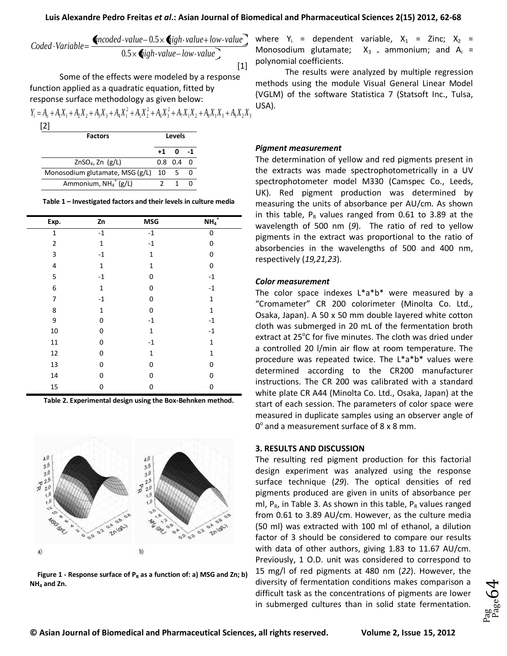## **Luis Alexandre Pedro Freitas** *et al***.: Asian Journal of Biomedical and Pharmaceutical Sciences 2(15) 2012, 62-68**

$$
Code d \cdot Variable = \frac{\text{Cncoded} \cdot value - 0.5 \times \text{Qigh} \cdot value + low \cdot value}{0.5 \times \text{Qigh} \cdot value - low \cdot value}
$$
\n[1]

Some of the effects were modeled by a response function applied as a quadratic equation, fitted by response surface methodology as given below:

 $7 - 1 - 2$   $-8 - 1 - 3$   $-9 - 2 - 3$ 2  $6 - 3$ 2  $Y_i = A_o + A_1 X_1 + A_2 X_2 + A_3 X_3 + A_4 X_1^2 + A_5 X_2^2 + A_6 X_3^2 + A_7 X_1 X_2 + A_8 X_1 X_3 + A_9 X_2 X_3$ 

$$
[2]
$$

| <b>Factors</b>                     | Levels |             |    |  |
|------------------------------------|--------|-------------|----|--|
|                                    | $+1$ 0 |             | -1 |  |
| ZnSO <sub>4</sub> , Zn $(g/L)$     |        | $0.8$ 0.4 0 |    |  |
| Monosodium glutamate, MSG (g/L) 10 |        | -5          |    |  |
| Ammonium, $NH_4^+$ (g/L)           |        |             |    |  |

**Table 1 – Investigated factors and their levels in culture media**

| Exp.           | Zn           | <b>MSG</b>   | $NH_4^+$     |
|----------------|--------------|--------------|--------------|
| $\mathbf{1}$   | $^{\rm -1}$  | $-1$         | 0            |
| $\overline{2}$ | $\mathbf{1}$ | $-1$         | 0            |
| 3              | $-1$         | $\mathbf{1}$ | 0            |
| 4              | $\mathbf{1}$ | $\mathbf{1}$ | 0            |
| 5              | $-1$         | 0            | $^{\rm -1}$  |
| 6              | $\mathbf 1$  | 0            | $-1$         |
| 7              | $-1$         | 0            | $\mathbf 1$  |
| 8              | $\mathbf{1}$ | 0            | $\mathbf{1}$ |
| 9              | 0            | $-1$         | $-1$         |
| 10             | 0            | $\mathbf{1}$ | $^{\rm -1}$  |
| 11             | 0            | $-1$         | $\mathbf{1}$ |
| 12             | 0            | $\mathbf{1}$ | 1            |
| 13             | 0            | 0            | 0            |
| 14             | 0            | 0            | O            |
| 15             | 0            | 0            | 0            |

**Table 2. Experimental design using the Box-Behnken method.**



**Figure 1 - Response surface of P<sup>R</sup> as a function of: a) MSG and Zn; b) NH<sup>4</sup> and Zn.**

where  $Y_i$  = dependent variable,  $X_1$  = Zinc;  $X_2$  = Monosodium glutamate;  $X_3 =$  ammonium; and  $A_i =$ polynomial coefficients.

The results were analyzed by multiple regression methods using the module Visual General Linear Model (VGLM) of the software Statistica 7 (Statsoft Inc., Tulsa, USA).

#### *Pigment measurement*

The determination of yellow and red pigments present in the extracts was made spectrophotometrically in a UV spectrophotometer model M330 (Camspec Co., Leeds, UK). Red pigment production was determined by measuring the units of absorbance per AU/cm. As shown in this table,  $P_R$  values ranged from 0.61 to 3.89 at the wavelength of 500 nm (*9*). The ratio of red to yellow pigments in the extract was proportional to the ratio of absorbencies in the wavelengths of 500 and 400 nm, respectively (*19,21,23*).

#### *Color measurement*

The color space indexes  $L^*a^*b^*$  were measured by a "Cromameter" CR 200 colorimeter (Minolta Co. Ltd., Osaka, Japan). A 50 x 50 mm double layered white cotton cloth was submerged in 20 mL of the fermentation broth extract at 25°C for five minutes. The cloth was dried under a controlled 20 l/min air flow at room temperature. The procedure was repeated twice. The L\*a\*b\* values were determined according to the CR200 manufacturer instructions. The CR 200 was calibrated with a standard white plate CR A44 (Minolta Co. Ltd., Osaka, Japan) at the start of each session. The parameters of color space were measured in duplicate samples using an observer angle of  $0^{\circ}$  and a measurement surface of 8 x 8 mm.

## **3. RESULTS AND DISCUSSION**

The resulting red pigment production for this factorial design experiment was analyzed using the response surface technique (*29*). The optical densities of red pigments produced are given in units of absorbance per ml,  $P_R$ , in Table 3. As shown in this table,  $P_R$  values ranged from 0.61 to 3.89 AU/cm. However, as the culture media (50 ml) was extracted with 100 ml of ethanol, a dilution factor of 3 should be considered to compare our results with data of other authors, giving 1.83 to 11.67 AU/cm. Previously, 1 O.D. unit was considered to correspond to 15 mg/l of red pigments at 480 nm (*22*). However, the diversity of fermentation conditions makes comparison a difficult task as the concentrations of pigments are lower in submerged cultures than in solid state fermentation.

 $_{\rm Page}$ 64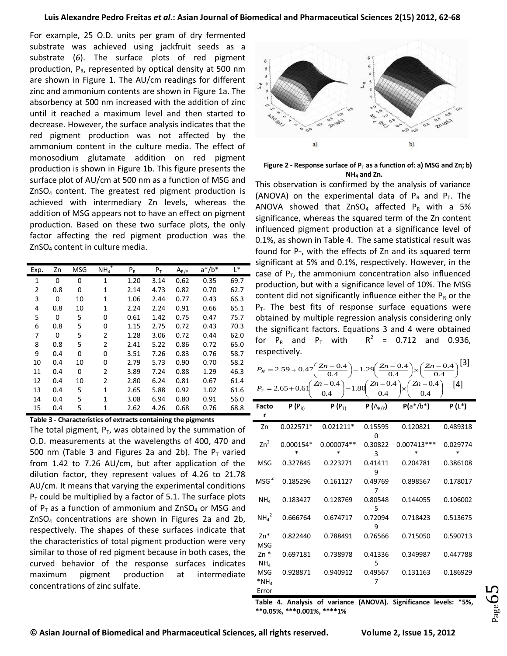## **Luis Alexandre Pedro Freitas** *et al***.: Asian Journal of Biomedical and Pharmaceutical Sciences 2(15) 2012, 62-68**

For example, 25 O.D. units per gram of dry fermented substrate was achieved using jackfruit seeds as a substrate (*6*). The surface plots of red pigment production,  $P_R$ , represented by optical density at 500 nm are shown in Figure 1. The AU/cm readings for different zinc and ammonium contents are shown in Figure 1a. The absorbency at 500 nm increased with the addition of zinc until it reached a maximum level and then started to decrease. However, the surface analysis indicates that the red pigment production was not affected by the ammonium content in the culture media. The effect of monosodium glutamate addition on red pigment production is shown in Figure 1b. This figure presents the surface plot of AU/cm at 500 nm as a function of MSG and ZnSO4 content. The greatest red pigment production is achieved with intermediary Zn levels, whereas the addition of MSG appears not to have an effect on pigment production. Based on these two surface plots, the only factor affecting the red pigment production was the ZnSO<sup>4</sup> content in culture media.

| Exp.         | Zn  | <b>MSG</b> | $NH_4^+$       | $P_R$ | $P_T$ | $A_{R\underline{/Y}}$ | $a*/b*$ | L*   |
|--------------|-----|------------|----------------|-------|-------|-----------------------|---------|------|
| $\mathbf{1}$ | 0   | 0          | 1              | 1.20  | 3.14  | 0.62                  | 0.35    | 69.7 |
| 2            | 0.8 | 0          | 1              | 2.14  | 4.73  | 0.82                  | 0.70    | 62.7 |
| 3            | 0   | 10         | 1              | 1.06  | 2.44  | 0.77                  | 0.43    | 66.3 |
| 4            | 0.8 | 10         | 1              | 2.24  | 2.24  | 0.91                  | 0.66    | 65.1 |
| 5            | 0   | 5          | 0              | 0.61  | 1.42  | 0.75                  | 0.47    | 75.7 |
| 6            | 0.8 | 5          | 0              | 1.15  | 2.75  | 0.72                  | 0.43    | 70.3 |
| 7            | 0   | 5          | 2              | 1.28  | 3.06  | 0.72                  | 0.44    | 62.0 |
| 8            | 0.8 | 5          | 2              | 2.41  | 5.22  | 0.86                  | 0.72    | 65.0 |
| 9            | 0.4 | 0          | 0              | 3.51  | 7.26  | 0.83                  | 0.76    | 58.7 |
| 10           | 0.4 | 10         | 0              | 2.79  | 5.73  | 0.90                  | 0.70    | 58.2 |
| 11           | 0.4 | 0          | 2              | 3.89  | 7.24  | 0.88                  | 1.29    | 46.3 |
| 12           | 0.4 | 10         | $\overline{2}$ | 2.80  | 6.24  | 0.81                  | 0.67    | 61.4 |
| 13           | 0.4 | 5          | 1              | 2.65  | 5.88  | 0.92                  | 1.02    | 61.6 |
| 14           | 0.4 | 5          | 1              | 3.08  | 6.94  | 0.80                  | 0.91    | 56.0 |
| 15           | 0.4 | 5          | $\mathbf{1}$   | 2.62  | 4.26  | 0.68                  | 0.76    | 68.8 |

**Table 3 - Characteristics of extracts containing the pigments**

The total pigment,  $P_T$ , was obtained by the summation of O.D. measurements at the wavelengths of 400, 470 and 500 nm (Table 3 and Figures 2a and 2b). The  $P_T$  varied from 1.42 to 7.26 AU/cm, but after application of the dilution factor, they represent values of 4.26 to 21.78 AU/cm. It means that varying the experimental conditions  $P_T$  could be multiplied by a factor of 5.1. The surface plots of  $P_T$  as a function of ammonium and ZnSO<sub>4</sub> or MSG and ZnSO<sup>4</sup> concentrations are shown in Figures 2a and 2b, respectively. The shapes of these surfaces indicate that the characteristics of total pigment production were very similar to those of red pigment because in both cases, the curved behavior of the response surfaces indicates maximum pigment production at intermediate concentrations of zinc sulfate.



#### **Figure 2 - Response surface of P<sup>T</sup> as a function of: a) MSG and Zn; b) NH<sup>4</sup> and Zn.**

This observation is confirmed by the analysis of variance (ANOVA) on the experimental data of  $P_R$  and  $P_T$ . The ANOVA showed that ZnSO<sub>4</sub> affected  $P_R$  with a 5% significance, whereas the squared term of the Zn content influenced pigment production at a significance level of 0.1%, as shown in Table 4. The same statistical result was found for  $P_T$ , with the effects of Zn and its squared term significant at 5% and 0.1%, respectively. However, in the  $\blacksquare$  case of P<sub>T</sub>, the ammonium concentration also influenced production, but with a significance level of 10%. The MSG content did not significantly influence either the  $P_R$  or the  $P_T$ . The best fits of response surface equations were obtained by multiple regression analysis considering only the significant factors. Equations 3 and 4 were obtained for  $P_R$  and  $P_T$  with  $R^2$  = 0.712 and 0.936, respectively.

$$
P_R = 2.59 + 0.47 \left( \frac{Zn - 0.4}{0.4} \right) - 1.29 \left( \frac{Zn - 0.4}{0.4} \right) \times \left( \frac{Zn - 0.4}{0.4} \right)^{5}
$$
  

$$
P_T = 2.65 + 0.61 \left( \frac{Zn - 0.4}{0.4} \right) - 1.80 \left( \frac{Zn - 0.4}{0.4} \right) \times \left( \frac{Zn - 0.4}{0.4} \right) \quad [4]
$$

| Facto                        | $P(P_R)$              | $P(P_T)$               | $P(A_{R/Y})$      | $P(a*/b*)$              | P (L*)             |
|------------------------------|-----------------------|------------------------|-------------------|-------------------------|--------------------|
| r                            |                       |                        |                   |                         |                    |
| Zn                           | 0.022571*             | $0.021211*$            | 0.15595           | 0.120821                | 0.489318           |
| $Zn^2$                       | $0.000154*$<br>$\ast$ | $0.000074**$<br>$\ast$ | 0<br>0.30822<br>3 | $0.007413***$<br>$\ast$ | 0.029774<br>$\ast$ |
| <b>MSG</b>                   | 0.327845              | 0.223271               | 0.41411<br>9      | 0.204781                | 0.386108           |
| MSG <sup>2</sup>             | 0.185296              | 0.161127               | 0.49769<br>7      | 0.898567                | 0.178017           |
| NH <sub>A</sub>              | 0.183427              | 0.128769               | 0.80548<br>5      | 0.144055                | 0.106002           |
| NH <sub>4</sub> <sup>2</sup> | 0.666764              | 0.674717               | 0.72094<br>9      | 0.718423                | 0.513675           |
| Zn*<br><b>MSG</b>            | 0.822440              | 0.788491               | 0.76566           | 0.715050                | 0.590713           |
| $Zn *$<br>NH <sub>4</sub>    | 0.697181              | 0.738978               | 0.41336<br>5      | 0.349987                | 0.447788           |
| MSG<br>$*NH4$<br>Error       | 0.928871              | 0.940912               | 0.49567<br>7      | 0.131163                | 0.186929           |

**Table 4. Analysis of variance (ANOVA). Significance levels: \*5%, \*\*0.05%, \*\*\*0.001%, \*\*\*\*1%**

Page<sup>O</sup>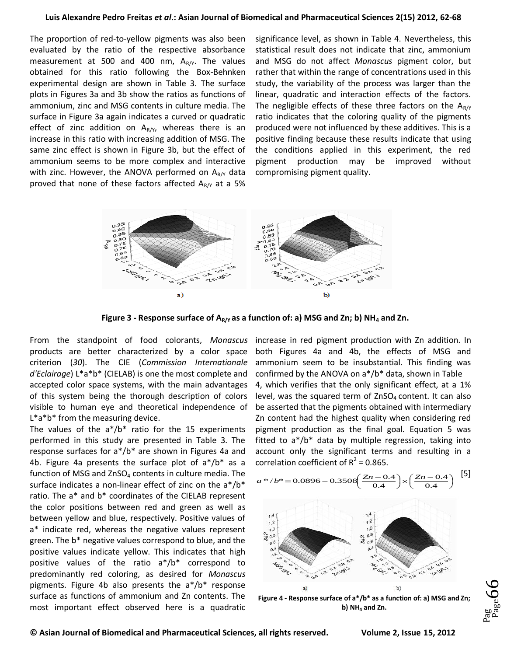#### **Luis Alexandre Pedro Freitas** *et al***.: Asian Journal of Biomedical and Pharmaceutical Sciences 2(15) 2012, 62-68**

The proportion of red-to-yellow pigments was also been evaluated by the ratio of the respective absorbance measurement at 500 and 400 nm,  $A_{R/Y}$ . The values obtained for this ratio following the Box-Behnken experimental design are shown in Table 3. The surface plots in Figures 3a and 3b show the ratios as functions of ammonium, zinc and MSG contents in culture media. The surface in Figure 3a again indicates a curved or quadratic effect of zinc addition on  $A_{R/Y}$ , whereas there is an increase in this ratio with increasing addition of MSG. The same zinc effect is shown in Figure 3b, but the effect of ammonium seems to be more complex and interactive with zinc. However, the ANOVA performed on  $A_{R/Y}$  data proved that none of these factors affected  $A_{\rm R/Y}$  at a 5%

significance level, as shown in Table 4. Nevertheless, this statistical result does not indicate that zinc, ammonium and MSG do not affect *Monascus* pigment color, but rather that within the range of concentrations used in this study, the variability of the process was larger than the linear, quadratic and interaction effects of the factors. The negligible effects of these three factors on the  $A_{\rm R/Y}$ ratio indicates that the coloring quality of the pigments produced were not influenced by these additives. This is a positive finding because these results indicate that using the conditions applied in this experiment, the red pigment production may be improved without compromising pigment quality.



**Figure 3 - Response surface of AR/Y as a function of: a) MSG and Zn; b) NH<sup>4</sup> and Zn.**

From the standpoint of food colorants, *Monascus* products are better characterized by a color space criterion (*30*). The CIE (*Commission Internationale d'Eclairage*) L\*a\*b\* (CIELAB) is one the most complete and accepted color space systems, with the main advantages of this system being the thorough description of colors visible to human eye and theoretical independence of L\*a\*b\* from the measuring device.

The values of the  $a^*/b^*$  ratio for the 15 experiments performed in this study are presented in Table 3. The response surfaces for a\*/b\* are shown in Figures 4a and 4b. Figure 4a presents the surface plot of  $a^*/b^*$  as a function of MSG and  $ZnSO_4$  contents in culture media. The surface indicates a non-linear effect of zinc on the a\*/b\* ratio. The a\* and b\* coordinates of the CIELAB represent the color positions between red and green as well as between yellow and blue, respectively. Positive values of a\* indicate red, whereas the negative values represent green. The b\* negative values correspond to blue, and the positive values indicate yellow. This indicates that high positive values of the ratio a\*/b\* correspond to predominantly red coloring, as desired for *Monascus* pigments. Figure 4b also presents the a\*/b\* response surface as functions of ammonium and Zn contents. The most important effect observed here is a quadratic

increase in red pigment production with Zn addition. In both Figures 4a and 4b, the effects of MSG and ammonium seem to be insubstantial. This finding was confirmed by the ANOVA on a\*/b\* data, shown in Table 4, which verifies that the only significant effect, at a 1% level, was the squared term of  $ZnSO<sub>4</sub>$  content. It can also be asserted that the pigments obtained with intermediary Zn content had the highest quality when considering red pigment production as the final goal. Equation 5 was fitted to a\*/b\* data by multiple regression, taking into account only the significant terms and resulting in a correlation coefficient of  $R^2$  = 0.865.

$$
a* / b* = 0.0896 - 0.3508 \left(\frac{Zn - 0.4}{0.4}\right) \times \left(\frac{Zn - 0.4}{0.4}\right)
$$
 [5]  

$$
\begin{array}{r} \n \begin{array}{r} 14 \\
\uparrow 2 \\
12 \\
\downarrow 0\n \end{array} \\
\n \begin{array}{r} \n \begin{array}{r} 14 \\
\uparrow 2 \\
\downarrow 0\n \end{array} \\
\n \begin{array}{r} \n \begin{array}{r} 14 \\
\uparrow 2 \\
\downarrow 0\n \end{array} \\
\n \begin{array}{r} \n \begin{array}{r} 14 \\
\uparrow 2 \\
\downarrow 0\n \end{array} \\
\n \begin{array}{r} \n \begin{array}{r} 14 \\
\uparrow 2 \\
\downarrow 0\n \end{array} \\
\n \begin{array}{r} \n \begin{array}{r} 14 \\
\uparrow 2 \\
\downarrow 0\n \end{array} \\
\n \end{array} \\
\n \begin{array}{r} \n \begin{array}{r} 14 \\
\uparrow 2 \\
\downarrow 0\n \end{array} \\
\n \end{array} \\
\n \begin{array}{r} \n \begin{array}{r} 14 \\
\uparrow 2 \\
\downarrow 0\n \end{array} \\
\n \end{array} \\
\n \begin{array}{r} \n \begin{array}{r} 14 \\
\uparrow 2 \\
\downarrow 0\n \end{array} \\
\n \end{array} \\
\n \begin{array}{r} \n \begin{array}{r} 14 \\
\uparrow 2 \\
\downarrow 0\n \end{array} \\
\n \end{array} \\
\n \end{array}
$$

**Figure 4 - Response surface of a\*/b\* as a function of: a) MSG and Zn; b) NH<sup>4</sup> and Zn.**

**© Asian Journal of Biomedical and Pharmaceutical Sciences, all rights reserved. Volume 2, Issue 15, 2012**

 $P_{\rm age}$ 66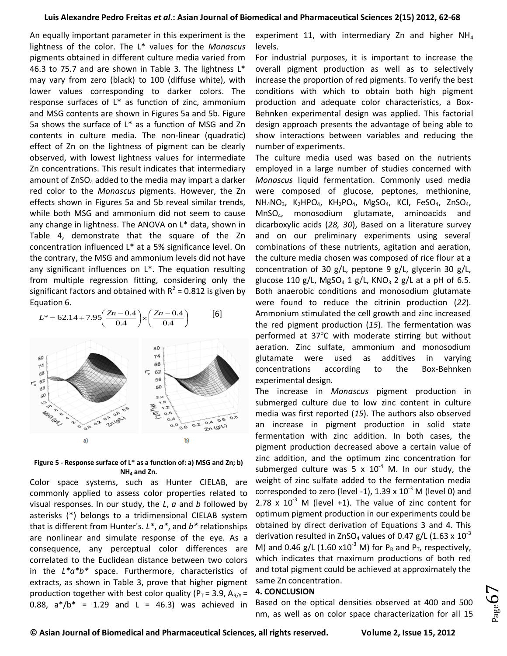An equally important parameter in this experiment is the lightness of the color. The L\* values for the *Monascus* pigments obtained in different culture media varied from 46.3 to 75.7 and are shown in Table 3. The lightness L\* may vary from zero (black) to 100 (diffuse white), with lower values corresponding to darker colors. The response surfaces of L\* as function of zinc, ammonium and MSG contents are shown in Figures 5a and 5b. Figure 5a shows the surface of L\* as a function of MSG and Zn contents in culture media. The non-linear (quadratic) effect of Zn on the lightness of pigment can be clearly observed, with lowest lightness values for intermediate Zn concentrations. This result indicates that intermediary amount of  $ZnSO_4$  added to the media may impart a darker red color to the *Monascus* pigments. However, the Zn effects shown in Figures 5a and 5b reveal similar trends, while both MSG and ammonium did not seem to cause any change in lightness. The ANOVA on L\* data, shown in Table 4, demonstrate that the square of the Zn concentration influenced L\* at a 5% significance level. On the contrary, the MSG and ammonium levels did not have any significant influences on L\*. The equation resulting from multiple regression fitting, considering only the significant factors and obtained with  $R^2$  = 0.812 is given by Equation 6.



**Figure 5 - Response surface of L\* as a function of: a) MSG and Zn; b) NH<sup>4</sup> and Zn.**

Color space systems, such as Hunter CIELAB, are commonly applied to assess color properties related to visual responses. In our study, the *L*, *a* and *b* followed by asterisks (\*) belongs to a tridimensional CIELAB system that is different from Hunter's. *L\**, *a\**, and *b\** relationships are nonlinear and simulate response of the eye. As a consequence, any perceptual color differences are correlated to the [Euclidean distance](http://en.wikipedia.org/wiki/Euclidean_distance) between two colors in the *L\*a\*b\** space. Furthermore, characteristics of extracts, as shown in Table 3, prove that higher pigment production together with best color quality ( $P_T = 3.9$ ,  $A_{R/Y} =$ 0.88,  $a^{*}/b^{*} = 1.29$  and L = 46.3) was achieved in experiment 11, with intermediary Zn and higher  $NH<sub>4</sub>$ levels.

For industrial purposes, it is important to increase the overall pigment production as well as to selectively increase the proportion of red pigments. To verify the best conditions with which to obtain both high pigment production and adequate color characteristics, a Box-Behnken experimental design was applied. This factorial design approach presents the advantage of being able to show interactions between variables and reducing the number of experiments.

The culture media used was based on the nutrients employed in a large number of studies concerned with *Monascus* liquid fermentation. Commonly used media were composed of glucose, peptones, methionine,  $NH_4NO_3$ , K<sub>2</sub>HPO<sub>4</sub>, KH<sub>2</sub>PO<sub>4</sub>, MgSO<sub>4</sub>, KCl, FeSO<sub>4</sub>, ZnSO<sub>4</sub>, MnSO4, monosodium glutamate, aminoacids and dicarboxylic acids (*28, 30*), Based on a literature survey and on our preliminary experiments using several combinations of these nutrients, agitation and aeration, the culture media chosen was composed of rice flour at a concentration of 30 g/L, peptone 9 g/L, glycerin 30 g/L, glucose 110 g/L, MgSO<sub>4</sub> 1 g/L, KNO<sub>3</sub> 2 g/L at a pH of 6.5. Both anaerobic conditions and monosodium glutamate were found to reduce the citrinin production (*22*). Ammonium stimulated the cell growth and zinc increased the red pigment production (*15*). The fermentation was performed at 37°C with moderate stirring but without aeration. Zinc sulfate, ammonium and monosodium glutamate were used as additives in varying concentrations according to the Box-Behnken experimental design.

The increase in *Monascus* pigment production in submerged culture due to low zinc content in culture media was first reported (*15*). The authors also observed an increase in pigment production in solid state fermentation with zinc addition. In both cases, the pigment production decreased above a certain value of zinc addition, and the optimum zinc concentration for submerged culture was 5 x  $10^{-4}$  M. In our study, the weight of zinc sulfate added to the fermentation media corresponded to zero (level -1), 1.39 x  $10^{-3}$  M (level 0) and 2.78 x  $10^{-3}$  M (level +1). The value of zinc content for optimum pigment production in our experiments could be obtained by direct derivation of Equations 3 and 4. This derivation resulted in ZnSO<sub>4</sub> values of 0.47 g/L (1.63 x 10<sup>-3</sup> M) and 0.46 g/L (1.60  $\times 10^{-3}$  M) for P<sub>R</sub> and P<sub>T</sub>, respectively, which indicates that maximum productions of both red and total pigment could be achieved at approximately the same Zn concentration.

#### **4. CONCLUSION**

Based on the optical densities observed at 400 and 500 nm, as well as on color space characterization for all 15